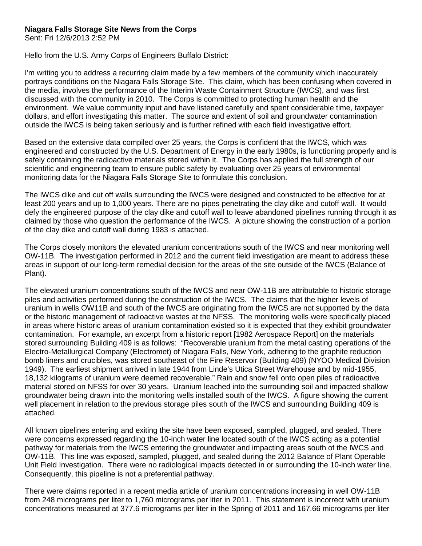## **Niagara Falls Storage Site News from the Corps**

Sent: Fri 12/6/2013 2:52 PM

Hello from the U.S. Army Corps of Engineers Buffalo District:

I'm writing you to address a recurring claim made by a few members of the community which inaccurately portrays conditions on the Niagara Falls Storage Site. This claim, which has been confusing when covered in the media, involves the performance of the Interim Waste Containment Structure (IWCS), and was first discussed with the community in 2010. The Corps is committed to protecting human health and the environment. We value community input and have listened carefully and spent considerable time, taxpayer dollars, and effort investigating this matter. The source and extent of soil and groundwater contamination outside the IWCS is being taken seriously and is further refined with each field investigative effort.

Based on the extensive data compiled over 25 years, the Corps is confident that the IWCS, which was engineered and constructed by the U.S. Department of Energy in the early 1980s, is functioning properly and is safely containing the radioactive materials stored within it. The Corps has applied the full strength of our scientific and engineering team to ensure public safety by evaluating over 25 years of environmental monitoring data for the Niagara Falls Storage Site to formulate this conclusion.

The IWCS dike and cut off walls surrounding the IWCS were designed and constructed to be effective for at least 200 years and up to 1,000 years. There are no pipes penetrating the clay dike and cutoff wall. It would defy the engineered purpose of the clay dike and cutoff wall to leave abandoned pipelines running through it as claimed by those who question the performance of the IWCS. A picture showing the construction of a portion of the clay dike and cutoff wall during 1983 is attached.

The Corps closely monitors the elevated uranium concentrations south of the IWCS and near monitoring well OW-11B. The investigation performed in 2012 and the current field investigation are meant to address these areas in support of our long-term remedial decision for the areas of the site outside of the IWCS (Balance of Plant).

The elevated uranium concentrations south of the IWCS and near OW-11B are attributable to historic storage piles and activities performed during the construction of the IWCS. The claims that the higher levels of uranium in wells OW11B and south of the IWCS are originating from the IWCS are not supported by the data or the historic management of radioactive wastes at the NFSS. The monitoring wells were specifically placed in areas where historic areas of uranium contamination existed so it is expected that they exhibit groundwater contamination. For example, an excerpt from a historic report [1982 Aerospace Report] on the materials stored surrounding Building 409 is as follows: "Recoverable uranium from the metal casting operations of the Electro-Metallurgical Company (Electromet) of Niagara Falls, New York, adhering to the graphite reduction bomb liners and crucibles, was stored southeast of the Fire Reservoir (Building 409) (NYOO Medical Division 1949). The earliest shipment arrived in late 1944 from Linde's Utica Street Warehouse and by mid-1955, 18,132 kilograms of uranium were deemed recoverable." Rain and snow fell onto open piles of radioactive material stored on NFSS for over 30 years. Uranium leached into the surrounding soil and impacted shallow groundwater being drawn into the monitoring wells installed south of the IWCS. A figure showing the current well placement in relation to the previous storage piles south of the IWCS and surrounding Building 409 is attached.

All known pipelines entering and exiting the site have been exposed, sampled, plugged, and sealed. There were concerns expressed regarding the 10-inch water line located south of the IWCS acting as a potential pathway for materials from the IWCS entering the groundwater and impacting areas south of the IWCS and OW-11B. This line was exposed, sampled, plugged, and sealed during the 2012 Balance of Plant Operable Unit Field Investigation. There were no radiological impacts detected in or surrounding the 10-inch water line. Consequently, this pipeline is not a preferential pathway.

There were claims reported in a recent media article of uranium concentrations increasing in well OW-11B from 248 micrograms per liter to 1,760 micrograms per liter in 2011. This statement is incorrect with uranium concentrations measured at 377.6 micrograms per liter in the Spring of 2011 and 167.66 micrograms per liter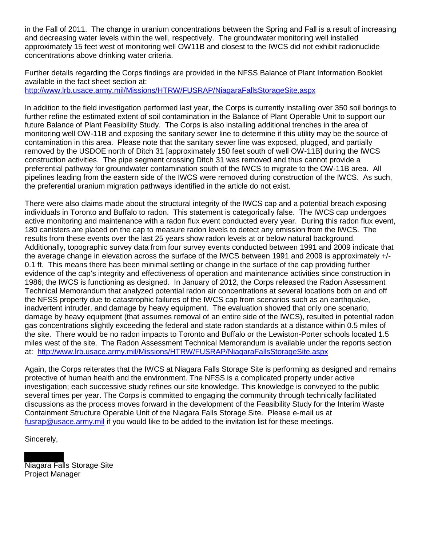in the Fall of 2011. The change in uranium concentrations between the Spring and Fall is a result of increasing and decreasing water levels within the well, respectively. The groundwater monitoring well installed approximately 15 feet west of monitoring well OW11B and closest to the IWCS did not exhibit radionuclide concentrations above drinking water criteria.

Further details regarding the Corps findings are provided in the NFSS Balance of Plant Information Booklet available in the fact sheet section at:

<http://www.lrb.usace.army.mil/Missions/HTRW/FUSRAP/NiagaraFallsStorageSite.aspx>

In addition to the field investigation performed last year, the Corps is currently installing over 350 soil borings to further refine the estimated extent of soil contamination in the Balance of Plant Operable Unit to support our future Balance of Plant Feasibility Study. The Corps is also installing additional trenches in the area of monitoring well OW-11B and exposing the sanitary sewer line to determine if this utility may be the source of contamination in this area. Please note that the sanitary sewer line was exposed, plugged, and partially removed by the USDOE north of Ditch 31 [approximately 150 feet south of well OW-11B] during the IWCS construction activities. The pipe segment crossing Ditch 31 was removed and thus cannot provide a preferential pathway for groundwater contamination south of the IWCS to migrate to the OW-11B area. All pipelines leading from the eastern side of the IWCS were removed during construction of the IWCS. As such, the preferential uranium migration pathways identified in the article do not exist.

There were also claims made about the structural integrity of the IWCS cap and a potential breach exposing individuals in Toronto and Buffalo to radon. This statement is categorically false. The IWCS cap undergoes active monitoring and maintenance with a radon flux event conducted every year. During this radon flux event, 180 canisters are placed on the cap to measure radon levels to detect any emission from the IWCS. The results from these events over the last 25 years show radon levels at or below natural background. Additionally, topographic survey data from four survey events conducted between 1991 and 2009 indicate that the average change in elevation across the surface of the IWCS between 1991 and 2009 is approximately +/- 0.1 ft. This means there has been minimal settling or change in the surface of the cap providing further evidence of the cap's integrity and effectiveness of operation and maintenance activities since construction in 1986; the IWCS is functioning as designed. In January of 2012, the Corps released the Radon Assessment Technical Memorandum that analyzed potential radon air concentrations at several locations both on and off the NFSS property due to catastrophic failures of the IWCS cap from scenarios such as an earthquake, inadvertent intruder, and damage by heavy equipment. The evaluation showed that only one scenario, damage by heavy equipment (that assumes removal of an entire side of the IWCS), resulted in potential radon gas concentrations slightly exceeding the federal and state radon standards at a distance within 0.5 miles of the site. There would be no radon impacts to Toronto and Buffalo or the Lewiston-Porter schools located 1.5 miles west of the site. The Radon Assessment Technical Memorandum is available under the reports section at: <http://www.lrb.usace.army.mil/Missions/HTRW/FUSRAP/NiagaraFallsStorageSite.aspx>

Again, the Corps reiterates that the IWCS at Niagara Falls Storage Site is performing as designed and remains protective of human health and the environment. The NFSS is a complicated property under active investigation; each successive study refines our site knowledge. This knowledge is conveyed to the public several times per year. The Corps is committed to engaging the community through technically facilitated discussions as the process moves forward in the development of the Feasibility Study for the Interim Waste Containment Structure Operable Unit of the Niagara Falls Storage Site. Please e-mail us at [fusrap@usace.army.mil](mailto:fusrap@usace.army.mil) if you would like to be added to the invitation list for these meetings.

Sincerely,

Niagara Falls Storage Site Project Manager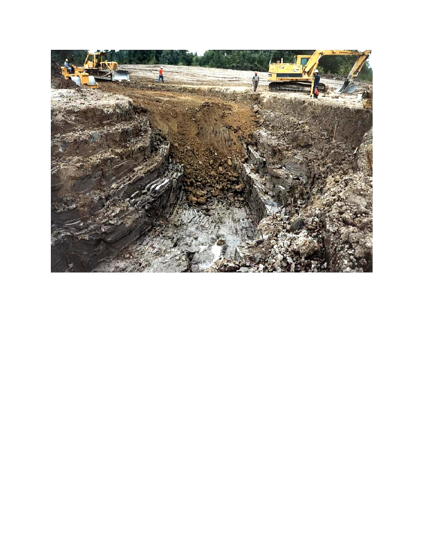